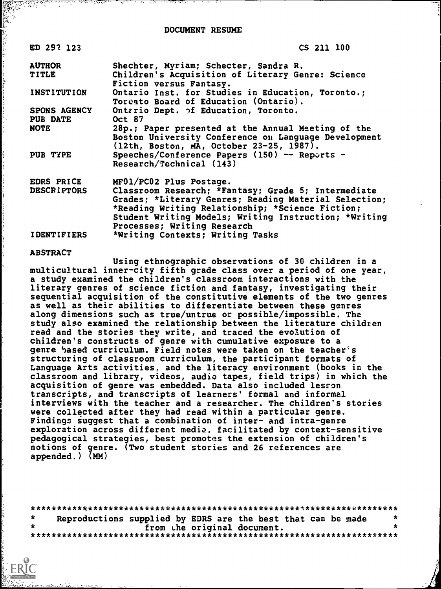DOCUMENT RESUME

| ED 29? 123         | CS 211 100                                                                                 |
|--------------------|--------------------------------------------------------------------------------------------|
| <b>AUTHOR</b>      | Shechter, Myriam; Schecter, Sandra R.                                                      |
| <b>TITLE</b>       | Children's Acquisition of Literary Genre: Science<br>Fiction versus Fantasy.               |
| <b>INSTITUTION</b> | Ontario Inst. for Studies in Education, Toronto.;<br>Torento Board of Education (Ontario). |
| SPONS AGENCY       | Ontrrio Dept. of Education, Toronto.                                                       |
| <b>PUB DATE</b>    | Oct 87                                                                                     |
| NOTE               | 28p.; Paper presented at the Annual Meeting of the                                         |
|                    | Boston University Conference on Language Development                                       |
|                    | (12th, Boston, MA, October 23-25, 1987).                                                   |
| PUB TYPE           | Speeches/Conference Papers (150) -- Reports -                                              |
|                    | Research/Technical (143)                                                                   |
| EDRS PRICE         | MF01/PC02 Plus Postage.                                                                    |
| <b>DESCRIPTORS</b> | Classroom Research; *Fantasy; Grade 5; Intermediate                                        |
|                    | Grades; *Literary Genres; Reading Material Selection;                                      |
|                    | *Reading Writing Relationship; *Science Fiction;                                           |
|                    | Student Writing Models; Writing Instruction; *Writing                                      |
|                    | Processes; Writing Research                                                                |
| <b>IDENTIFIERS</b> | *Writing Contexts; Writing Tasks                                                           |

#### ABSTRACT

Using ethnographic observations of 30 children in a multicultural inner-city fifth grade class over a period of one year, a study examined the children's classroom interactions with the literary genres of science fiction and fantasy, investigating their sequential acquisition of the constitutive elements of the two genres as well as their abilities to differentiate between these genres along dimensions such as true/untrue or possible/impossible. The study also examined the relationship between the literature children read and the stories they write, and traced the evolution of children's constructs of genre with cumulative exposure to a genre based curriculum. Field notes were taken on the teacher's structuring of classroom curriculum, the participant formats of Language Arts activities, and the literacy environment (books in the classroom and library, videos, audio tapes, field trips) in which the acquisition of genre was embedded. Data also included lesson transcripts, and transcripts of learners' formal and informal interviews with the teacher and a researcher. The children's stories were collected after they had read within a particular genre. Findings suggest that a combination of inter- and intra-genre exploration across different media, facilitated by context-sensitive pedagogical strategies, best promotes the extension of children's notions of genre. (Two student stories and 26 references are appended.) (MM)

| Reproductions supplied by EDRS are the best that can be made | $\star$ |
|--------------------------------------------------------------|---------|
| from the original document.                                  |         |
|                                                              |         |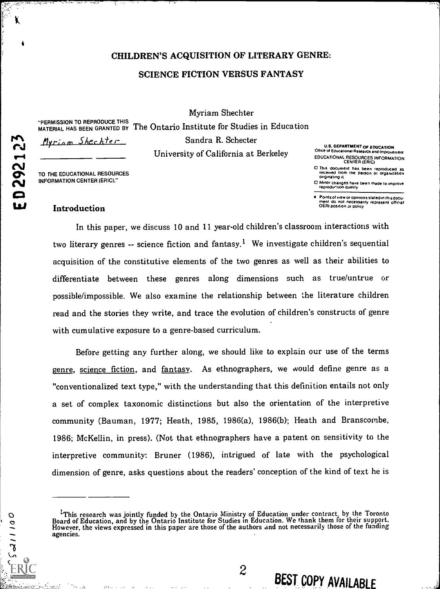# CHILDREN'S ACQUISITION OF LITERARY GENRE: SCIENCE FICTION VERSUS FANTASY

"PERMISSION TO REPRODUCE THIS <sub>m</sub>

<u>Myriam</u> Shechter

 $\blacksquare$ 

ED292123

001115

 $\mathbf{\Omega}$  construction

PERMISSION TO REFROCOCE THIS The Ontario Institute for Studies in Education Sandra R. Schecter University of California at Berkeley

Myriam Shechter

U.S. DEPARTMENT Of EDUCATION Othce of Educational Research and Improvement EDUCATIONAL RESOURCES INFORMATION CENTER (ERIC)

- O This document has been reproduced as received from the Person or organization originating it
- O Minor changes have been made to imprOve reproduetion qualsty

Points of view or opinions stated in this docu-<br>ment ido inot inecessarily represent icfficial<br>OERI position or policy

# TO THE EDUCATIONAL RESOURCES INFORMATION CENTER (ERIC)."

# Introduction

In this paper, we discuss 10 and 11 year-old children's classroom interactions with two literary genres  $-$  science fiction and fantasy.<sup>1</sup> We investigate children's sequential acquisition of the constitutive elements of the two genres as well as their abilities to differentiate between these genres along dimensions such as true/untrue or possible/impossible. We also examine the relationship between the literature children read and the stories they write, and trace the evolution of children's constructs of genre with cumulative exposure to a genre-based curriculum.

Before getting any further along, we should like to explain our use of the terms genre, science fiction, and fantasy. As ethnographers, we would define genre as a "conventionalized text type," with the understanding that this definition entails not only a set of complex taxonomic distinctions but also the orientation of the interpretive community (Bauman, 1977; Heath, 1985, 1986(a), 1986(b); Heath and Branscombe, 1986; McKellin, in press). (Not that ethnographers have a patent on sensitivity to the interpretive community: Bruner (1986), intrigued of late with the psychological dimension of genre, asks questions about the readers' conception of the kind of text he is

 $2\qquad$  DECT

BEST COPY AVAILABLE

<sup>&</sup>lt;sup>1</sup>This research was jointly funded by the Ontario Ministry of Education under contract, by the Toronto Board of Education, and by the Ontario Institute for Studies in Education. We thank them for their support. However, t agencies.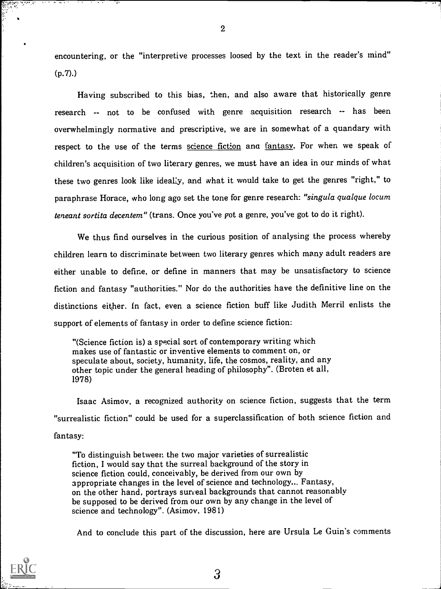encountering, or the "interpretive processes loosed by the text in the reader's mind" (p.7).)

Having subscribed to this bias, then, and also aware that historically genre research -- not to be confused with genre acquisition research -- has been overwhelmingly normative and prescriptive, we are in somewhat of a quandary with respect to the use of the terms science fiction and fantasy. For when we speak of children's acquisition of two literary genres, we must have an idea in our minds of what these two genres look like ideally, and what it would take to get the genres "right," to paraphrase Horace, who long ago set the tone for genre research: "singula qualque locum teneant sortita decentem" (trans. Once you've got a genre, you've got to do it right).

We thus find ourselves in the curious position of analysing the process whereby children learn to discriminate between two literary genres which many adult readers are either unable to define, or define in manners that may be unsatisfactory to science fiction and fantasy "authorities." Nor do the authorities have the definitive line on the distinctions either. In fact, even a science fiction buff like Judith Merril enlists the support of elements of fantasy in order to define science fiction:

"(Science fiction is) a special sort of contemporary writing which makes use of fantastic or inventive elements to comment on, or speculate about, society, humanity, life, the cosmos, reality, and any other topic under the general heading of philosophy". (Broten et all, 1978)

Isaac Asimov, a recognized authority on science fiction, suggests that the term "surrealistic fiction" could be used for a superclassification of both science fiction and fantasy:

"To distinguish between the two major varieties of surrealistic fiction, I would say that the surreal background of the story in science fiction could, conceivably, be derived from our own by appropriate changes in the level of science and technology... Fantasy, on the other hand, portrays surfeal backgrounds that cannot reasonably be supposed to be derived from our own by any change in the level of science and technology". (Asimov, 1981)

And to conclude this part of the discussion, here are Ursula Le Guin's comments



2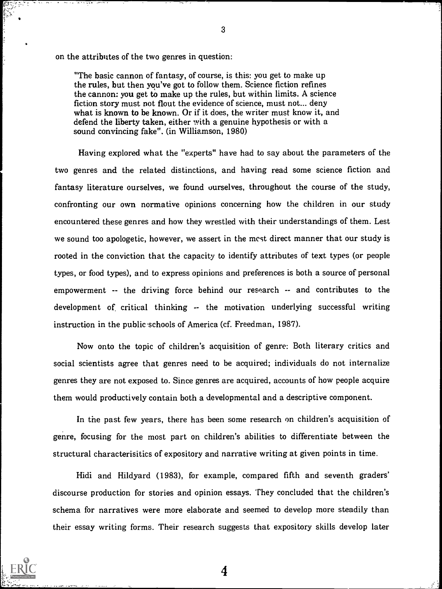on the attributes of the two genres in question:

"The basic cannon of fantasy, of course, is this: you get to make up the rules, but then you've got to follow them. Science fiction refines the cannon: you get to make up the rules, but within limits. A science fiction story must not flout the evidence of science, must not... deny what is known to be known. Or if it does, the writer must know it, and defend the liberty taken, either with a genuine hypothesis or with a sound convincing fake". (in Williamson, 1980)

Having explored what the "experts" have had to say about the parameters of the two genres and the related distinctions, and having read some science fiction and fantasy literature ourselves, we found ourselves, throughout the course of the study, confronting our own normative opinions concerning how the children in our study encountered these genres and how they wrestled with their understandings of them. Lest we sound too apologetic, however, we assert in the mest direct manner that our study is rooted in the conviction that the capacity to identify attributes of text types (or people types, or food types), and to express opinions and preferences is both a source of personal empowerment -- the driving force behind our research -- and contributes to the development of critical thinking -- the motivation underlying successful writing instruction in the public schools of America (cf. Freedman, 1987).

Now onto the topic of children's acquisition of genre: Both literary critics and social scientists agree that genres need to be acquired; individuals do not internalize genres they are not exposed to. Since genres are acquired, accounts of how people acquire them would productively contain both a developmental and a descriptive component.

In the past few years, there has been some research on children's acquisition of genre, focusing for the most part on children's abilities to differentiate between the structural characterisitics of expository and narrative writing at given points in time.

Hidi and Hildyard (1983), for example, compared fifth and seventh graders' discourse production for stories and opinion essays. They concluded that the children's schema for narratives were more elaborate and seemed to develop more steadily than their essay writing forms. Their research suggests that expository skills develop later

4

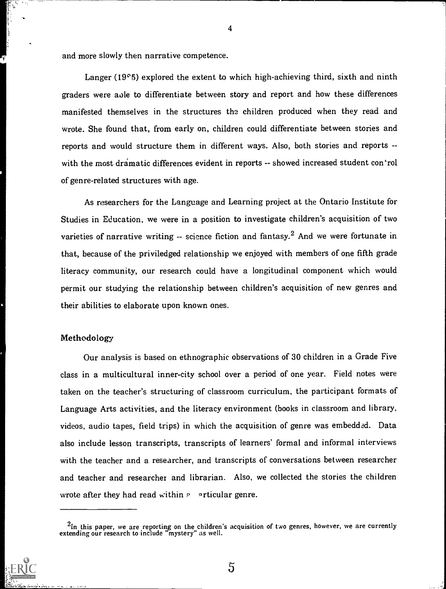and more slowly then narrative competence.

Langer (19°5) explored the extent to which high-achieving third, sixth and ninth graders were axle to differentiate between story and report and how these differences manifested themselves in the structures the children produced when they read and wrote. She found that, from early on, children could differentiate between stories and reports and would structure them in different ways. Also, both stories and reports - with the most dramatic differences evident in reports -- showed increased student con"rol of genre-related structures with age.

As researchers for the Language and Learning project at the Ontario Institute for Studies in Education, we were in a position to investigate children's acquisition of two varieties of narrative writing -- science fiction and fantasy.<sup>2</sup> And we were fortunate in that, because of the priviledged relationship we enjoyed with members of one fifth grade literacy community, our research could have a longitudinal component which would permit our studying the relationship between children's acquisition of new genres and their abilities to elaborate upon known ones.

## Methodology

Our analysis is based on ethnographic observations of 30 children in a Grade Five class in a multicultural inner-city school over a period of one year. Field notes were taken on the teacher's structuring of classroom curriculum, the participant formats of Language Arts activities, and the literacy environment (books in classroom and library, videos, audio tapes, field trips) in which the acquisition of genre was embedded. Data also include lesson transcripts, transcripts of learners' formal and informal interviews with the teacher and a researcher, and transcripts of conversations between researcher and teacher and researcher and librarian. Also, we collected the stories the children wrote after they had read within  $P$  articular genre.

 $^2$ In this paper, we are reporting on the children's acquisition of two genres, however, we are currently extending our research to include "mystery" as well.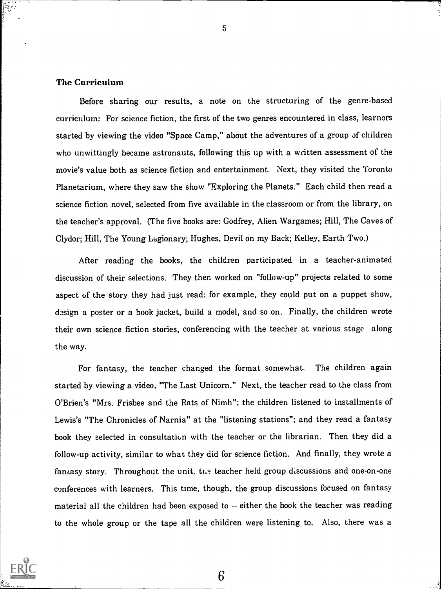# The Curriculum

Before sharing our results, a note on the structuring of the genre-based curriculum: For science fiction, the first of the two genres encountered in class, learners started by viewing the video "Space Camp," about the adventures of a group of children who unwittingly became astronauts, following this up with a written assessment of the movie's value both as science fiction and entertainment. Next, they visited the Toronto Planetarium, where they saw the show "Exploring the Planets." Each child then read a science fiction novel, selected from five available in the classroom or from the library, on the teacher's approval. (The five books are: Godfrey, Alien Wargames; Hill, The Caves of Clydor; Hill, The Young Legionary; Hughes, Devil on my Back; Kelley, Earth Two.)

After reading the books, the children participated in a teacher-animated discussion of their selections. They then worked on "follow-up" projects related to some aspect of the story they had just read: for example, they could put on a puppet show, design a poster or a book jacket, build a model, and so on. Finally, the children wrote their own science fiction stories, conferencing with the teacher at various stage along the way.

For fantasy, the teacher changed the format somewhat. The children again started by viewing a video, "The Last Unicorn." Next, the teacher read to the class from O'Brien's "Mrs. Frisbee and the Rats of Nimh"; the children listened to installments of Lewis's "The Chronicles of Narnia" at the "listening stations"; and they read a fantasy book they selected in consultation with the teacher or the librarian. Then they did a follow-up activity, similar to what they did for science fiction. And finally, they wrote a fantasy story. Throughout the unit, the teacher held group discussions and one-on-one conferences with learners. This time, though, the group discussions focused on fantasy material all the children had been exposed to -- either the book the teacher was reading to the whole group or the tape all the children were listening to. Also, there was a

6

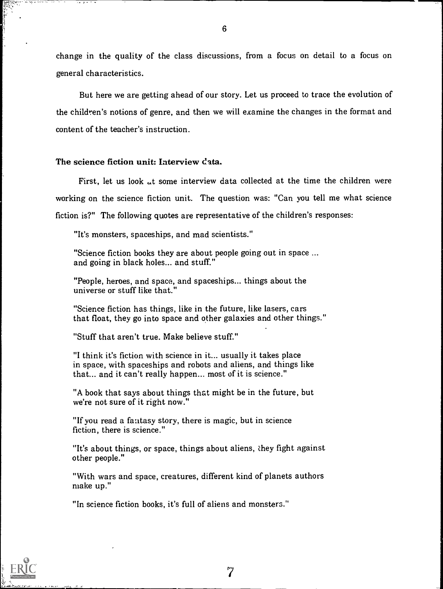change in the quality of the class discussions, from a focus on detail to a focus on general characteristics.

But here we are getting ahead of our story. Let us proceed to trace the evolution of the children's notions of genre, and then we will examine the changes in the format and content of the teacher's instruction.

# The science fiction unit: Interview  $\text{data}$ .

First, let us look  $\mu$ t some interview data collected at the time the children were working on the science fiction unit. The question was: "Can you tell me what science fiction is?" The following quotes are representative of the children's responses:

"It's monsters, spaceships, and mad scientists."

"Science fiction books they are about people going out in space ... and going in black holes... and stuff."

"People, heroes, and space, and spaceships... things about the universe or stuff like that."

"Science fiction has things, like in the future, like lasers, cars that float, they go into space and other galaxies and other things."

"Stuff that aren't true. Make believe stuff."

"I think it's fiction with science in it... usually it takes place in space, with spaceships and robots and aliens, and things like that... and it can't really happen... most of it is science."

"A book that says about things that might be in the future, but we're not sure of it right now."

"If you read a fantasy story, there is magic, but in science fiction, there is science."

"It's about things, or space, things about aliens, they fight against other people."

"With wars and space, creatures, different kind of planets authors make up."

"In science fiction books, it's full of aliens and monsters."

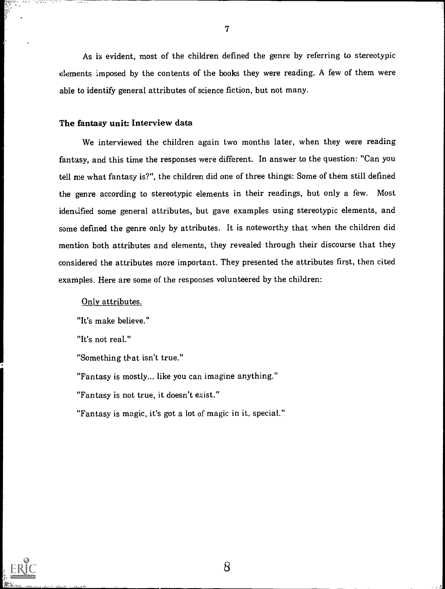As is evident, most of the children defined the genre by referring to stereotypic elements imposed by the contents of the books they were reading. A few of them were able to identify general attributes of science fiction, but not many.

# The fantasy unit: Interview data

We interviewed the children again two months later, when they were reading fantasy, and this time the responses were different. In answer to the question: "Can you tell me what fantasy is?", the children did one of three things: Some of them still defined the genre according to stereotypic elements in their readings, but only a few. Most identified some general attributes, but gave examples using stereotypic elements, and some defined the genre only by attributes. It is noteworthy that when the children did mention both attributes and elements, they revealed through their discourse that they considered the attributes more important. They presented the attributes first, then cited examples. Here are some of the responses volunteered by the children:

## Only attributes.

"It's make believe."

"It's not real."

"Something that isn't true."

"Fantasy is mostly... like you can imagine anything."

"Fantasy is not true, it doesn't exist."

"Fantasy is magic, it's got a lot of magic in it, special."

8

fr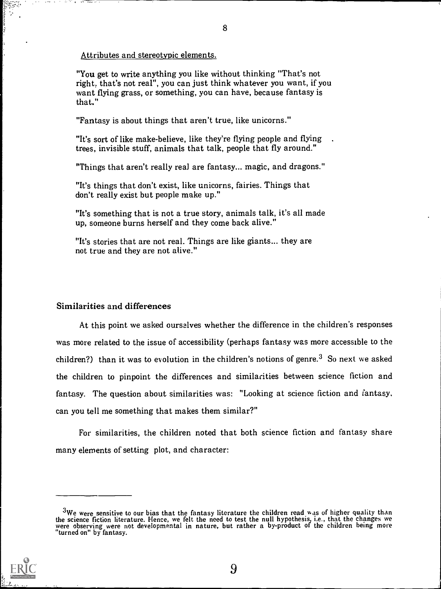#### Attributes and stereotypic elements.

"You get to write anything you like without thinking "That's not right; that's not real", you can just think whatever you want, if you want flying grass, or something, you can have, because fantasy is that."

"Fantasy is about things that aren't true, like unicorns."

"It's sort of like make-believe, like they're flying people and flying trees, invisible stuff, animals that talk, people that fly around."

"Things that aren't really real are fantasy... magic, and dragons."

"It's things that don't exist, like unicorns, fairies. Things that don't really exist but people make up."

"It's something that is not a true story, animals talk, it's all made up, someone burns herself and they come back alive."

"It's stories that are not real. Things are like giants... they are not true and they are not alive."

## Similarities and differences

At this point we asked ourselves whether the difference in the children's responses was more related to the issue of accessibility (perhaps fantasy was more accessible to the children?) than it was to evolution in the children's notions of genre.<sup>3</sup> So next we asked the children to pinpoint the differences and similarities between science fiction and fantasy. The question about similarities was: "Looking at science fiction and fantasy, can you tell me something that makes them similar?"

For similarities, the children noted that both science fiction and fantasy share many elements of setting plot, and character:

<sup>&</sup>lt;sup>3</sup>We were sensitive to our bias that the fantasy literature the children read was of higher quality than the science fiction literature. Hence, we felt the need to test the null hypothesis, i.e., that the changes we were observing were not developmental in nature, but rather a by-product of the children being more "turned on" by fantasy.

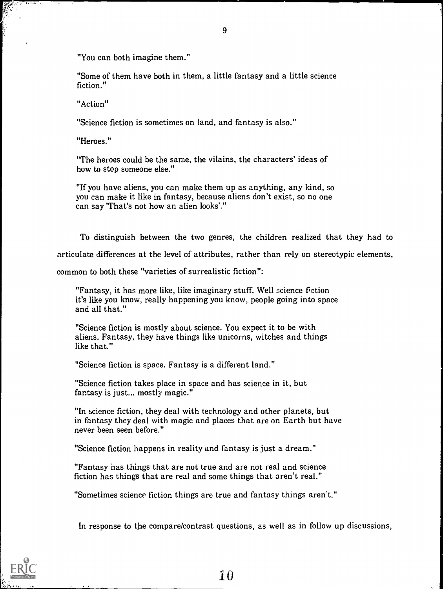"You can both imagine them."

"Some of them have both in them, a little fantasy and a little science fiction."

"Action"

"Science fiction is sometimes on land, and fantasy is also."

"Heroes."

"The heroes could be the same, the vilains, the characters' ideas of how to stop someone else."

"If you have aliens, you can make them up as anything, any kind, so you can make it like in fantasy, because aliens don't exist, so no one can say 'That's not how an alien looks'."

To distinguish between the two genres, the children realized that they had to articulate differences at the level of attributes, rather than rely on stereotypic elements,

common to both these "varieties of surrealistic fiction":

"Fantasy, it has more like, like imaginary stuff. Well science fiction it's like you know, really happening you know, people going into space and all that."

"Science fiction is mostly about science. You expect it to be with aliens. Fantasy, they have things like unicorns, witches and things like that."

"Science fiction is space. Fantasy is a different land."

"Science fiction takes place in space and has science in it, but fantasy is just... mostly magic."

"In science fiction, they deal with technology and other planets, but in fantasy they deal with magic and places that are on Earth but have never been seen before."

"Science fiction happens in reality and fantasy is just a dream."

"Fantasy has things that are not true and are not real and science fiction has things that are real and some things that aren't real."

"Sometimes science fiction things are true and fantasy things aren't."

In response to the compare/contrast questions, as well as in follow up discussions,

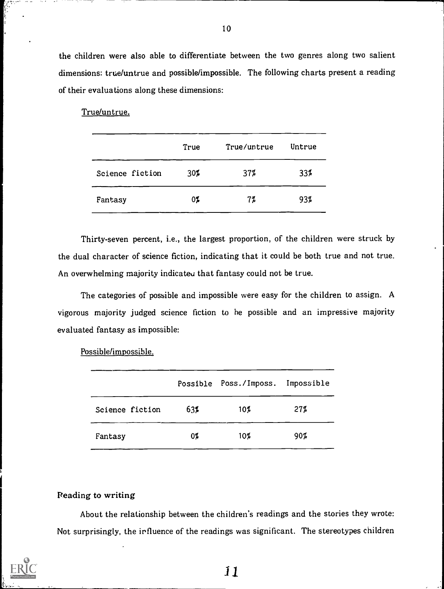the children were also able to differentiate between the two genres along two salient dimensions: true/untrue and possible/impossible. The following charts present a reading of their evaluations along these dimensions:

True/untrue.

|                 | True | True/untrue | Untrue |
|-----------------|------|-------------|--------|
| Science fiction | 30%  | 37%         | 33%    |
| Fantasy         | 07   | 7%          | 93%    |

Thirty-seven percent, i.e., the largest proportion, of the children were struck by the dual character of science fiction, indicating that it could be both true and not true. An overwhelming majority indicateu that fantasy could not be true.

The categories of possible and impossible were easy for the children to assign. A vigorous majority judged science fiction to he possible and an impressive majority evaluated fantasy as impossible:

|                 |     | Possible Poss./Imposs. Impossible |     |
|-----------------|-----|-----------------------------------|-----|
| Science fiction | 63% | $10\%$                            | 27% |
| Fantasy         | 07  | $10\%$                            | 90% |

Possible/impossible.

## Reading to writing

About the relationship between the children's readings and the stories they wrote: Not surprisingly, the irfluence of the readings was significant. The stereotypes children

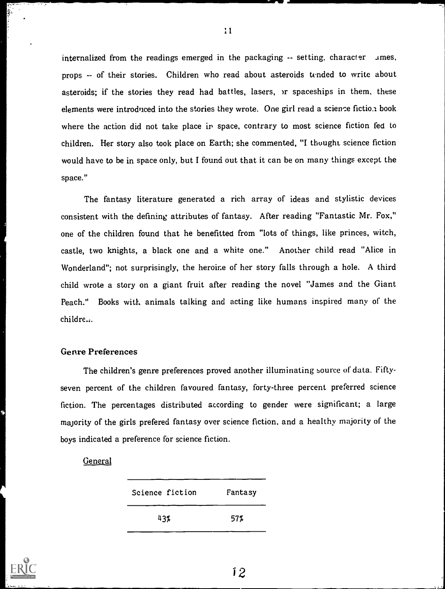internalized from the readings emerged in the packaging  $-$  setting, character  $\Delta$ mes, props -- of their stories. Children who read about asteroids tended to write about asteroids; if the stories they read had battles, lasers, or spaceships in them, these elements were introduced into the stories they wrote. One girl read a science fiction book where the action did not take place in space, contrary to most science fiction fed to children. Her story also took place on Earth; she commented, "I thought science fiction would have to be in space only, but I found out that it can be on many things except the space."

The fantasy literature generated a rich array of ideas and stylistic devices consistent with the defining attributes of fantasy. After reading "Fantastic Mr. Fox," one of the children found that he benefitted from "lots of things, like princes, witch, castle, two knights, a black one and a white one." Another child read "Alice in Wonderland"; not surprisingly, the heroine of her story falls through a hole. A third child wrote a story on a giant fruit after reading the novel "James and the Giant Peach." Books with animals talking and acting like humans inspired many of the childre...

## Genre Preferences

The children's genre preferences proved another illuminating source of data. Fiftyseven percent of the children favoured fantasy, forty-three percent preferred science fiction. The percentages distributed according to gender were significant; a large majority of the girls prefered fantasy over science fiction, and a healthy majority of the boys indicated a preference for science fiction.

#### General

| Science fiction | Fantasy |
|-----------------|---------|
| 43%             | 57%     |



11

i 2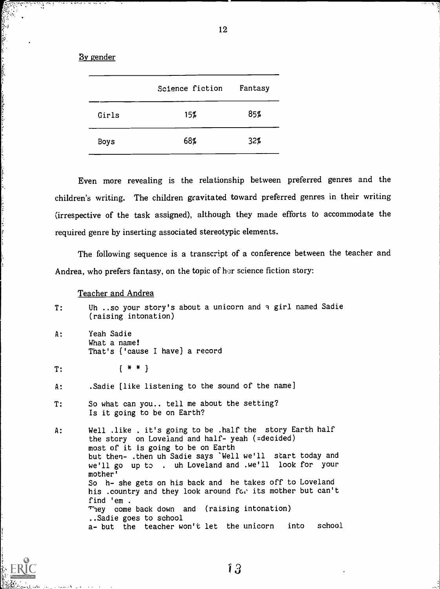12

#### By gender

ិរិដ្ឋ<br>ស្

きん ひまだきがく

والاستراطة المقاومة والدا

|       | Science fiction | Fantasy |
|-------|-----------------|---------|
| Girls | 15%             | 85%     |
| Boys  | 68%             | 32%     |

Even more revealing is the relationship between preferred genres and the children's writing. The children gravitated toward preferred genres in their writing (irrespective of the task assigned), although they made efforts to accommodate the required genre by inserting associated stereotypic elements.

The following sequence is a transcript of a conference between the teacher and Andrea, who prefers fantasy, on the topic of her science fiction story:

#### Teacher and Andrea

- T: Uh ..so your story's about a unicorn and a girl named Sadie (raising intonation)
- A: Yeah Sadie What a name! That's ['cause I have) a record

T: [ \* \*)

- A: .Sadie [like listening to the sound of the name]
- T: So what can you.. tell me about the setting? Is it going to be on Earth?
- A: Well .like . it's going to be .half the story Earth half the story on Loveland and half- yeah (=decided) most of it is going to be on Earth but then- .then uh Sadie says 'Well we'll start today and we'll go up to . uh Loveland and .we'll look for your mother' So h- she gets on his back and he takes off to Loveland his .country and they look around for its mother but can't find 'em . They come back down and (raising intonation) ..Sadie goes to school a- but the teacher won't let the unicorn into school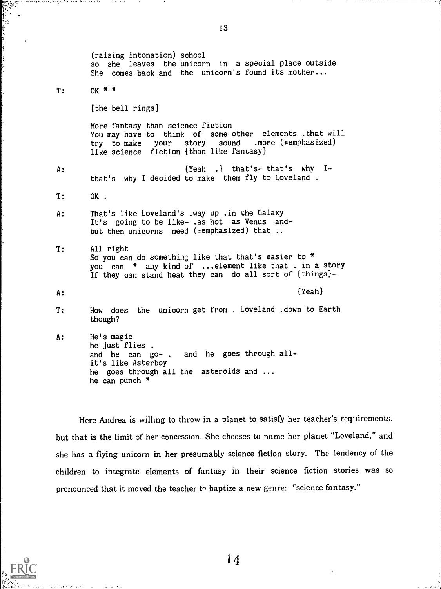(raising intonation) school so she leaves the unicorn in a special place outside She comes back and the unicorn's found its mother...  $T:$  OK  $*$  \* [the bell rings] More fantasy than science fiction You may have to think of some other elements .that will<br>try to make your story sound .more (=emphasized) try to make your story like science fiction [than like fantasy) A: [Yeah .) that's- that's why Ithat's why I decided to make them fly to Loveland . T: OK . A: That's like Loveland's .way up .in the Galaxy It's going to be like- .as hot as Venus andbut then unicorns need (=emphasized) that .. T: All right So you can do something like that that's easier to \* you can \* a.ly kind of ...element like that . in a story If they can stand heat they can do all sort of [things)- A: the contract of the contract of the contract of the contract of the contract of the contract of the contract of the contract of the contract of the contract of the contract of the contract of the contract of the contrac T: How does the unicorn get from . Loveland .down to Earth though? A: He's magic he just flies . and he can go- . and he goes through allit's like Asterboy he goes through all the asteroids and ... he can punch \*

Here Andrea is willing to throw in a planet to satisfy her teacher's requirements. but that is the limit of her concession. She chooses to name her planet "Loveland," and she has a flying unicorn in her presumably science fiction story. The tendency of the children to integrate elements of fantasy in their science fiction stories was so pronounced that it moved the teacher  $t_1$  baptize a new genre: "science fantasy."

13

All on works in the control of the state.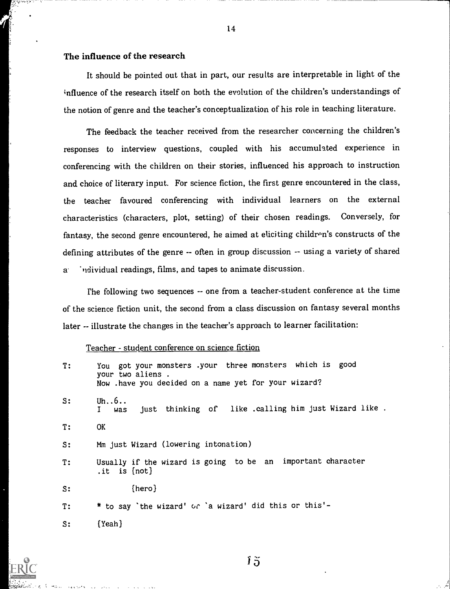# The influence of the research

It should be pointed out that in part, our results are interpretable in light of the influence of the research itself on both the evolution of the children's understandings of the notion of genre and the teacher's conceptualization of his role in teaching literature.

The feedback the teacher received from the researcher concerning the children's responses to interview questions, coupled with his accumulated experience in conferencing with the children on their stories, influenced his approach to instruction and choice of literary input. For science fiction, the first genre encountered in the class, the teacher favoured conferencing with individual learners on the external characteristics (characters, plot, setting) of their chosen readings. Conversely, for fantasy, the second genre encountered, he aimed at eliciting children's constructs of the defining attributes of the genre -- often in group discussion -- using a variety of shared a- "ndividual readings, films, and tapes to animate discussion.

The following two sequences -- one from a teacher-student conference at the time of the science fiction unit, the second from a class discussion on fantasy several months later -- illustrate the changes in the teacher's approach to learner facilitation:

#### Teacher - student conference on science fiction

| T:    | You got your monsters .your three monsters which is good<br>your two aliens.<br>Now . have you decided on a name yet for your wizard? |
|-------|---------------------------------------------------------------------------------------------------------------------------------------|
| s:    | Uh $6$<br>just thinking of like .calling him just Wizard like.<br>Ι.<br>was                                                           |
| T:    | OK.                                                                                                                                   |
| s:    | Mm just Wizard (lowering intonation)                                                                                                  |
| T:    | Usually if the wizard is going to be an important character<br>.it is $[not]$                                                         |
| $s$ : | [hero]                                                                                                                                |
| T:    | * to say 'the wizard' or 'a wizard' did this or this'-                                                                                |
| s:    | ${Yean}$                                                                                                                              |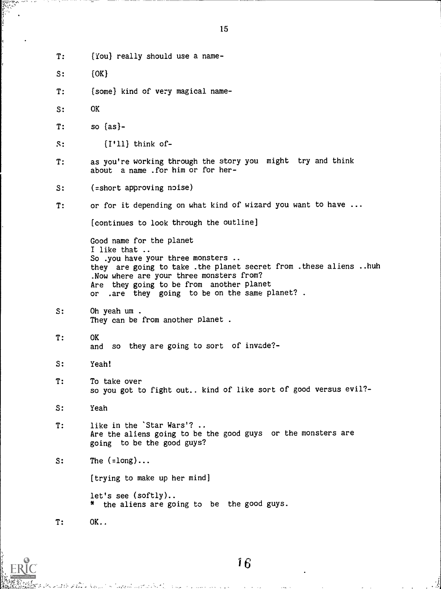- T: [You] really should use a name-
- S:  $[OK]$
- T: [some] kind of very magical name-
- S: OK
- T: so [as)-
- S: [I'll] think of-
- T: as you're working through the story you might try and think about a name .for him or for her-
- S: (=short approving noise)
- T: or for it depending on what kind of wizard you want to have ...

[continues to look through the outline]

Good name for the planet I like that .. So .you have your three monsters .. they are going to take .the planet secret from .these aliens ..huh .Now where are your three monsters from? Are they going to be from another planet or .are they going to be on the same planet? .

- S: Oh yeah um . They can be from another planet .
- T: OK and so they are going to sort of invade?-
- S: Yeah!
- T: To take over so you got to fight out.. kind of like sort of good versus evil?-
- S: Yeah
- T: like in the 'Star Wars'? .. Are the aliens going to be the good guys or the monsters are going to be the good guys?
- $S:$  The  $( = long) \ldots$

[trying to make up her mind]

let's see (softly).. \* the aliens are going to be the good guys.

T: OK..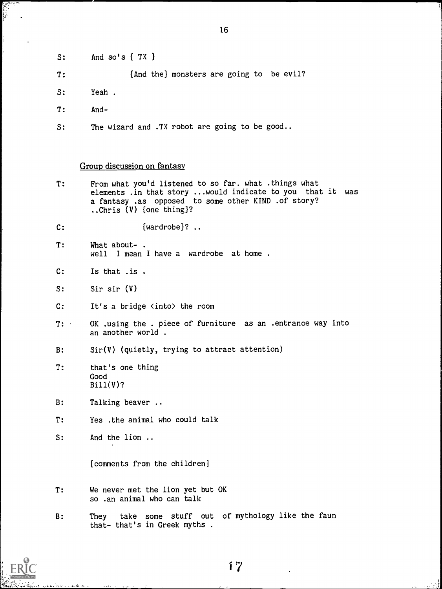$S:$  And so's  $\{TX\}$ 

T: (And the} monsters are going to be evil?

- S: Yeah .
- T: And-

S: The wizard and .TX robot are going to be good..

#### Group discussion on fantasy

T: From what you'd listened to so far. what .things what elements .in that story ...would indicate to you that it was a fantasy .as opposed to some other KIND .of story? Chris (V) (one thing)?

C: {wardrobe}? ..

- T: What about- . well I mean I have a wardrobe at home .
- C: Is that .is .
- S: Sir sir (V)
- C: It's a bridge <into> the room
- T: OK .using the . piece of furniture as an .entrance way into an another world .
- B: Sir(V) (quietly, trying to attract attention)
- T: that's one thing Good Bill(V)?
- B: Talking beaver ..
- T: Yes .the animal who could talk
- S: And the lion ..

[comments from the children]

- T: We never met the lion yet but OK so .an animal who can talk
- B: They take some stuff out of mythology like the faun that- that's in Greek myths .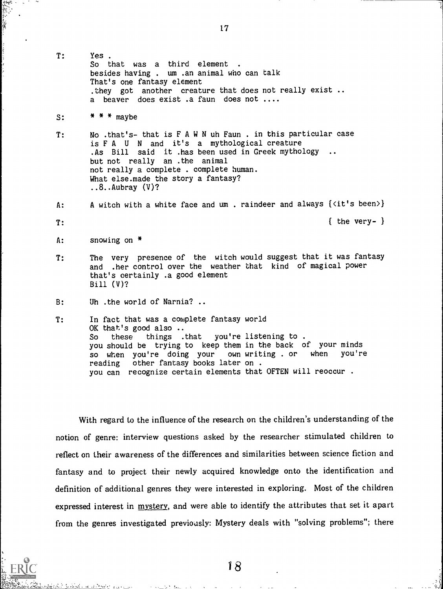- T: Yes . So that was a third element besides having . um .an animal who can talk That's one fantasy element .they got another creature that does not really exist .. a beaver does exist .a faun does not ....
- $S:$  \* \* \* maybe
- T: No .that's- that isFAWNuh Faun . in this particular case is F A U N and it's a mythological creature .As Bill said it .has been used in Greek mythology .. but not really an .the animal not really a complete . complete human. What else.made the story a fantasy?  $\ldots 8$ .. Aubray  $(V)$ ?
- A: A witch with a white face and um. raindeer and always {<it's been>}
- $T:$   $\qquad \qquad$  the very-  $\qquad$

A: snowing on \*

- T: The very presence of the witch would suggest that it was fantasy and .her control over the weather that kind of magical power that's certainly .a good element Bill (V)?
- B: Uh .the world of Narnia? .
- T: In fact that was a complete fantasy world OK that's good also  $\cdot$ .<br>So these things . So these things .that you're listening to. you should be trying to keep them in the back of your minds<br>so when you're doing your own writing, or when you're so when you're doing your own writing . or when reading other fantasy books later on . you can recognize certain elements that OFTEN will reoccur .

With regard to the influence of the research on the children's understanding of the notion of genre: interview questions asked by the researcher stimulated children to reflect on their awareness of the differences and similarities between science fiction and fantasy and to project their newly acquired knowledge onto the identification and definition of additional genres they were interested in exploring. Most of the children expressed interest in mystery, and were able to identify the attributes that set it apart from the genres investigated previously: Mystery deals with "solving problems"; there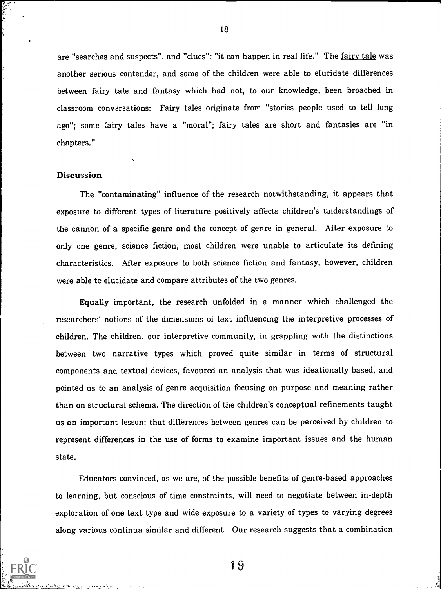are "searches and suspects", and "clues"; "it can happen in real life." The fairy tale was another serious contender, and some of the children were able to elucidate differences between fairy tale and fantasy which had not, to our knowledge, been broached in classroom conversations: Fairy tales originate from "stories people used to tell long ago"; some (airy tales have a "moral"; fairy tales are short and fantasies are "in chapters."

## **Discussion**

The "contaminating" influence of the research notwithstanding, it appears that exposure to different types of literature positively affects children's understandings of the cannon of a specific genre and the concept of genre in general. After exposure to only one genre, science fiction, most children were unable to articulate its defining characteristics. After exposure to both science fiction and fantasy, however, children were able te elucidate and compare attributes of the two genres.

Equally important, the research unfolded in a manner which challenged the researchers' notions of the dimensions of text influencing the interpretive processes of children. The children, our interpretive community, in grappling with the distinctions between two narrative types which proved quite similar in terms of structural components and textual devices, favoured an analysis that was ideationally based, and pointed us to an analysis of genre acquisition focusing on purpose and meaning rather than on structural schema. The direction of the children's conceptual refinements taught us an important lesson: that differences between genres can be perceived by children to represent differences in the use of forms to examine important issues and the human state.

Educators convinced, as we are, of the possible benefits of genre-based approaches to learning, but conscious of time constraints, will need to negotiate between in-depth exploration of one text type and wide exposure to a variety of types to varying degrees along various continua similar and different. Our research suggests that a combination

18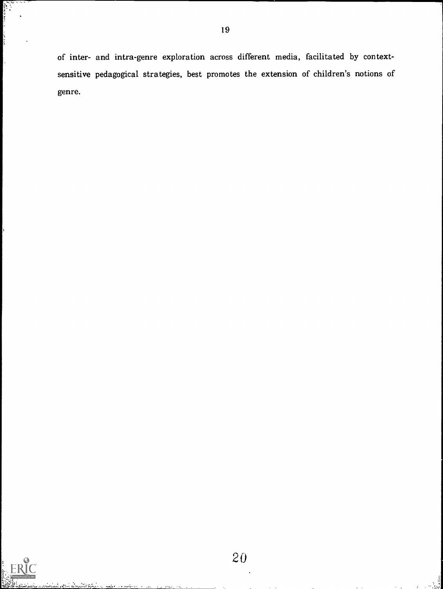of inter- and intra-genre exploration across different media, facilitated by contextsensitive pedagogical strategies, best promotes the extension of children's notions of genre.

19

e<br>Valmen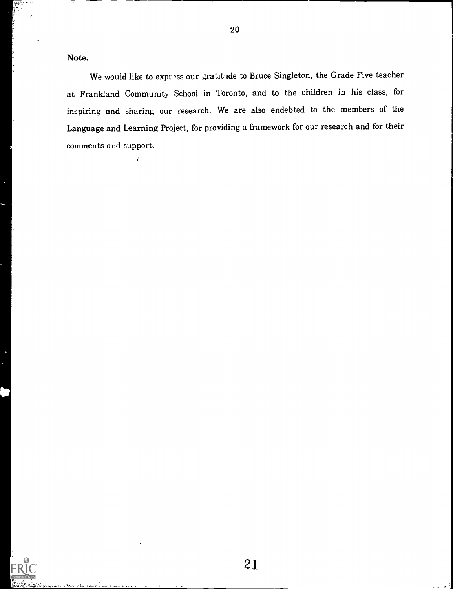Note.

ž,

We would like to express our gratitude to Bruce Singleton, the Grade Five teacher at Frankland Community School in Toronto, and to the children in his class, for inspiring and sharing our research. We are also endebted to the members of the Language and Learning Project, for providing a framework for our research and for their comments and support.

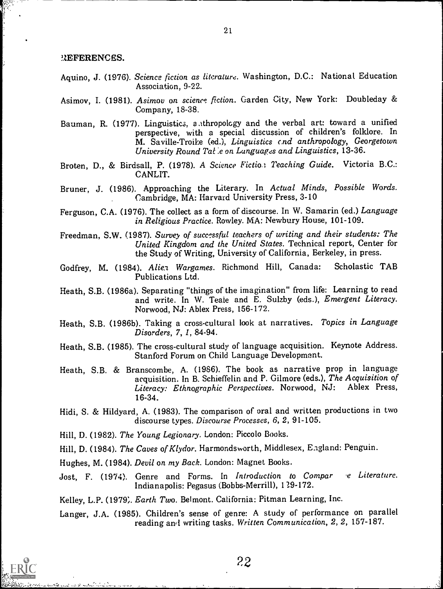#### 3.2EFERENCES.

- Aquino, J. (1976). Science fiction as literature. Washington, D.C.: National Education Association, 9-22.
- Asimov, I. (1981). Asimov on science fiction. Garden City, New York: Doubleday & Company, 18-38.
- Bauman, R. (1977). Linguistics, a thropology and the verbal art: toward a unified perspective, with a special discussion of children's folklore. In M. Saville-Troike (ed.), Linguistics and anthropology, Georgetown University Round Tat e on Languages and Linguistics, 13-36.
- Broten, D., & Birdsall, P. (1978). A Science Fiction Teaching Guide. Victoria B.C.: CANLIT.
- Bruner, J. (1986). Approaching the Literary. In Actual Minds, Possible Words. Cambridge, MA: Harvard University Press, 3-10
- Ferguson, C.A. (1976). The collect as a form of discourse. In W. Samarin (ed.) Language in Religious Practice. Rowley. MA: Newbury House, 101-109.
- Freedman, S.W. (1987). Survey of successful teachers of writing and their students: The United Kingdom and the United States. Technical report, Center for the Study of Writing, University of California, Berkeley, in press.
- Godfrey, M. (1984). Alien Wargames. Richmond Hill, Canada: Scholastic TAB Publications Ltd.
- Heath, S.B. (1986a). Separating "things of the imagination" from life: Learning to read and write. In W. Teale and E. Sulzby (eds.), Emergent Literacy. Norwood, NJ: Ablex Press, 156-172.
- Heath, S.B. (1986b). Taking a cross-cultural look at narratives. Topics in Language Disorders, 7, 1, 84-94.
- Heath, S.B. (1985). The cross-cultural study of language acquisition. Keynote Address. Stanford Forum on Child Language Development.
- Heath, S.B. & Branscombe, A. (1986). The book as narrative prop in language acquisition. In B. Schieffelin and P. Gilmore (eds.), The Acquisition of Literacy: Ethnographic Perspectives. Norwood, NJ: Ablex Press, 16-34.
- Hidi, S. & Hildyard, A. (1983). The comparison of oral and written productions in two discourse types. Discourse Processes, 6, 2, 91-105.
- Hill, D. (1982). The Young Legionary. London: Piccolo Books.
- Hill, D. (1984). The Caves of Klydor. Harmondsworth, Middlesex, England: Penguin.
- Hughes, M. (1984). Devil on my Back. London: Magnet Books.
- Jost, F. (1974). Genre and Forms. In Introduction to Compar e Literature. Indianapolis: Pegasus (Bobbs-Merrill), 129-172.

Kelley, L.P. (1979;. Earth Two. Belmont. California: Pitman Learning, Inc.

Langer, J.A. (1985). Children's sense of genre: A study of performance on parallel reading awl writing tasks. Written Communication, 2, 2, 157-187.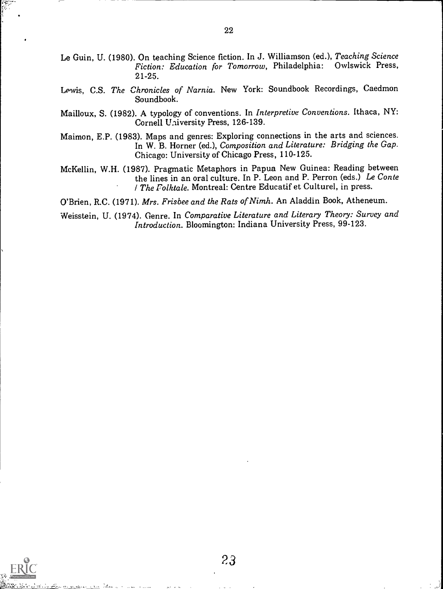- Le Guin, U. (1980). On teaching Science fiction. In J. Williamson (ed.), Teaching Science Fiction: Education for Tomorrow, Philadelphia: Owlswick Press, 21-25.
- Lewis, C.S. The Chronicles of Narnia. New York: Soundbook Recordings, Caedmon Soundbook.
- Mailloux, S. (1982). A typology of conventions. In Interpretive Conventions. Ithaca, NY: Cornell University Press, 126-139.
- Maimon, E.P. (1983). Maps and genres: Exploring connections in the arts and sciences. In W. B. Horner (ed.), Composition and Literature: Bridging the Gap. Chicago: University of Chicago Press, 110-125.
- McKellin, W.H. (1987). Pragmatic Metaphors in Papua New Guinea: Reading between the lines in an oral culture. In P. Leon and P. Perron (eds.) Le Conte *I The Folktale.* Montreal: Centre Educatif et Culturel, in press.

O'Brien, R.C. (1971). Mrs. Frisbee and the Rats of Nimh. An Aladdin Book, Atheneum.

Weisstein, U. (1974). Genre. In Comparative Literature and Literary Theory: Survey and Introduction. Bloomington: Indiana University Press, 99-123.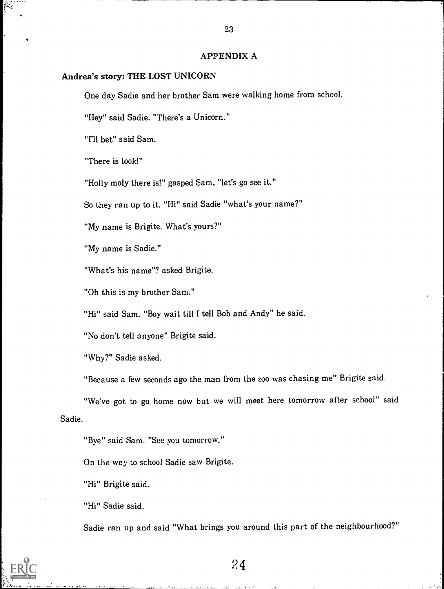## APPENDIX A

## Andrea's story: THE LOST UNICORN

One day Sadie and her brother Sam were walking home from school.

"Hey" said Sadie. "There's a Unicorn."

"I'll bet" said Sam.

"There is look!"

"Holly moly there is!" gasped Sam, "let's go see it."

So they ran up to it. "Hi" said Sadie "what's your name?"

"My name is Brigite. What's yours?"

"My name is Sadie."

"What's his name"? asked Brigite.

"Oh this is my brother Sam."

"Hi" said Sam. "Boy wait till I tell Bob and Andy" he said.

"No don't tell anyone" Brigite said.

"Why?" Sadie asked.

"Because a few seconds ago the man from the zoo was chasing me" Brigite said.

"We've got to go home now but we will meet here tomorrow after school" said Sadie.

"Bye" said Sam. "See you tomorrow."

On the way to school Sadie saw Brigite.

"Hi" Brigite said.

"Hi" Sadie said.

Sadie ran up and said "What brings you around this part of the neighbourhood?"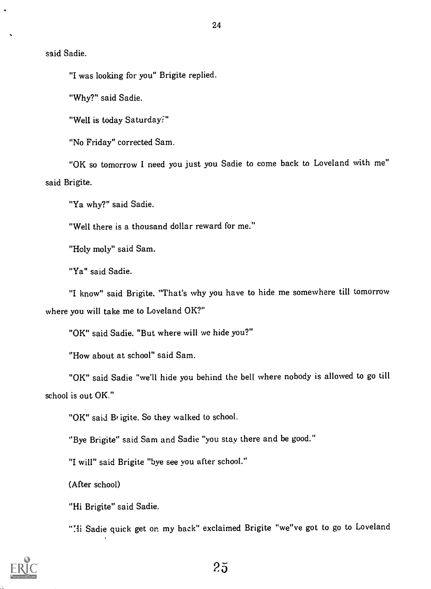24

said Sadie.

"I was looking for you" Brigite replied.

"Why?" said Sadie.

"Well is today Saturday?"

"No Friday" corrected Sam.

"OK so tomorrow I need you just you Sadie to come back to Loveland with me" said Brigite.

"Ya why?" said Sadie.

"Well there is a thousand dollar reward for me."

"Holy moly" said Sam.

"Ya" said Sadie.

"I know" said Brigite. "That's why you have to hide me somewhere till tomorrow where you will take me to Loveland OK?"

"OK" said Sadie. "But where will we hide you?"

"How about at school" said Sam.

"OK" said Sadie "we'll hide you behind the bell where nobody is allowed to go till school is out OK."

"OK" said Brigite. So they walked to school.

"Bye Brigite" said Sam and Sadie "you stay there and be good."

"I will" said Brigite "bye see you after school."

(After school)

"Hi Brigite" said Sadie.

"Hi Sadie quick get on my back" exclaimed Brigite "we"ve got to go to Loveland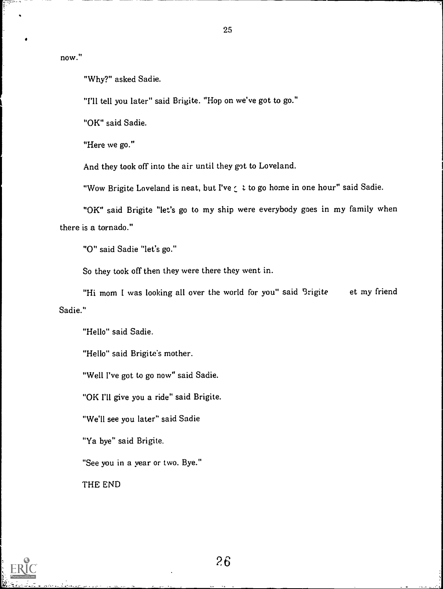now."

"Why?" asked Sadie.

"I'll tell you later" said Brigite. "Hop on we've got to go."

"OK" said Sadie.

"Here we go."

And they took off into the air until they got to Loveland.

"Wow Brigite Loveland is neat, but I've  $\zeta$  t to go home in one hour" said Sadie.

"OK" said Brigite "let's go to my ship were everybody goes in my family when there is a tornado."

"0" said Sadie "let's go."

So they took off then they were there they went in.

"Hi mom I was looking all over the world for you" said Brigite et my friend Sadie."

"Hello" said Sadie.

"Hello" said Brigite's mother.

"Well I've got to go now" said Sadie.

"OK I'll give you a ride" said Brigite.

"We'll see you later" said Sadie

"Ya bye" said Brigite.

"See you in a year or two. Bye."

THE END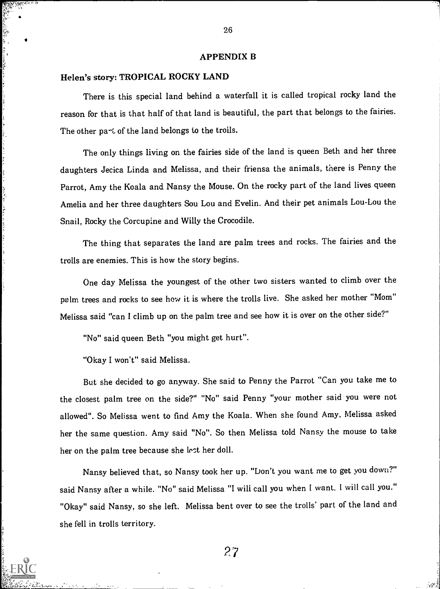#### APPENDIX B

#### Helen's story: TROPICAL ROCKY LAND

じゅうひん かんしゃ しゅくしょうしょく

 $\frac{1}{2}$ 

and control they

where the control is a second control of the control of the control of the control of the control of the control of the control of the control of the control of the control of the control of the control of the control of t

There is this special land behind a waterfall it is called tropical rocky land the reason for that is that half of that land is beautiful, the part that belongs to the fairies. The other part of the land belongs to the troils.

The only things living on the fairies side of the land is queen Beth and her three daughters Jecica Linda and Melissa, and their friensa the animals, there is Penny the Parrot, Amy the Koala and Nansy the Mouse. On the rocky part of the land lives queen Amelia and her three daughters Sou Lou and Evelin. And their pet animals Lou-Lou the Snail, Rocky the Corcupine and Willy the Crocodile.

The thing that separates the land are palm trees and rocks. The fairies and the trolls are enemies. This is how the story begins.

One day Melissa the youngest of the other two sisters wanted to climb over the palm trees and rocks to see how it is where the trolls live. She asked her mother "Mom" Melissa said "can I climb up on the palm tree and see how it is over on the other side?"

"No" said queen Beth "you might get hurt".

"Okay I won't" said Melissa.

But she decided to go anyway. She said to Penny the Parrot "Can you take me to the closest palm tree on the side?" "No" said Penny "your mother said you were not allowed". So Melissa went to find Amy the Koala. When she found Amy. Melissa asked her the same question. Amy said "No". So then Melissa told Nansy the mouse to take her on the palm tree because she lest her doll.

Nansy believed that, so Nansy took her up. "Don't you want me to get you down?" said Nansy after a while. "No" said Melissa "I will call you when I want. I will call you." "Okay" said Nansy, so she left. Melissa bent over to see the trolls' part of the land and she fell in trolls territory.

27